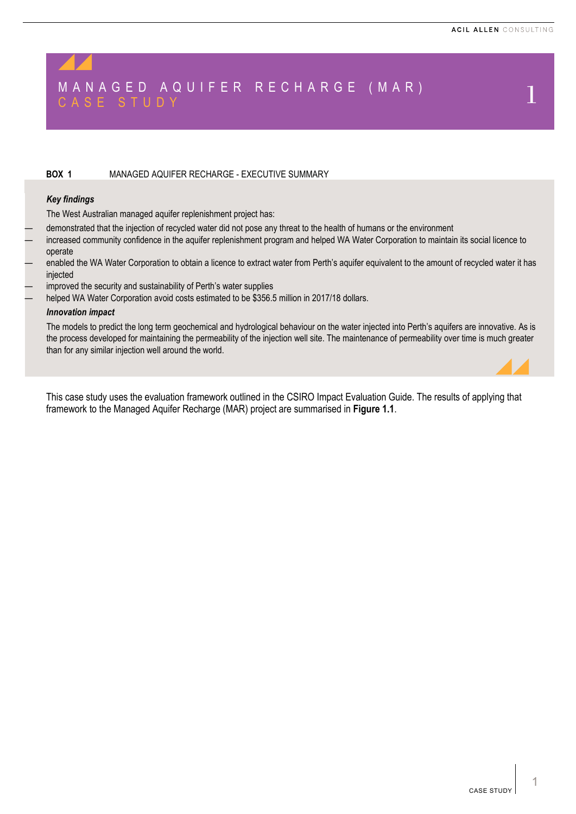# MANAGED AQUIFER RECHARGE (MAR) CASE STUDY 1

#### **BOX 1** MANAGED AQUIFER RECHARGE - EXECUTIVE SUMMARY

#### *Key findings*

The West Australian managed aquifer replenishment project has:

- demonstrated that the injection of recycled water did not pose any threat to the health of humans or the environment
- increased community confidence in the aquifer replenishment program and helped WA Water Corporation to maintain its social licence to operate
- enabled the WA Water Corporation to obtain a licence to extract water from Perth's aquifer equivalent to the amount of recycled water it has injected
- improved the security and sustainability of Perth's water supplies
- helped WA Water Corporation avoid costs estimated to be \$356.5 million in 2017/18 dollars.

#### *Innovation impact*

The models to predict the long term geochemical and hydrological behaviour on the water injected into Perth's aquifers are innovative. As is the process developed for maintaining the permeability of the injection well site. The maintenance of permeability over time is much greater than for any similar injection well around the world.

This case study uses the evaluation framework outlined in the CSIRO Impact Evaluation Guide. The results of applying that framework to the Managed Aquifer Recharge (MAR) project are summarised in **[Figure](#page-1-0) 1.1**.

1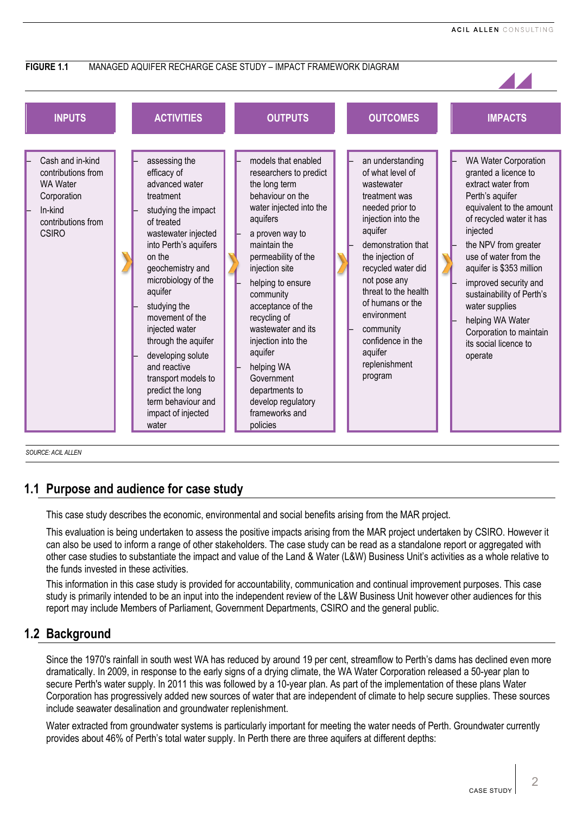<span id="page-1-0"></span>

*SOURCE: ACIL ALLEN*

# **1.1 Purpose and audience for case study**

This case study describes the economic, environmental and social benefits arising from the MAR project.

This evaluation is being undertaken to assess the positive impacts arising from the MAR project undertaken by CSIRO. However it can also be used to inform a range of other stakeholders. The case study can be read as a standalone report or aggregated with other case studies to substantiate the impact and value of the Land & Water (L&W) Business Unit's activities as a whole relative to the funds invested in these activities.

This information in this case study is provided for accountability, communication and continual improvement purposes. This case study is primarily intended to be an input into the independent review of the L&W Business Unit however other audiences for this report may include Members of Parliament, Government Departments, CSIRO and the general public.

# **1.2 Background**

Since the 1970's rainfall in south west WA has reduced by around 19 per cent, streamflow to Perth's dams has declined even more dramatically. In 2009, in response to the early signs of a drying climate, the WA Water Corporation released a 50-year plan to secure Perth's water supply. In 2011 this was followed by a 10-year plan. As part of the implementation of these plans Water Corporation has progressively added new sources of water that are independent of climate to help secure supplies. These sources include seawater desalination and groundwater replenishment.

Water extracted from groundwater systems is particularly important for meeting the water needs of Perth. Groundwater currently provides about 46% of Perth's total water supply. In Perth there are three aquifers at different depths: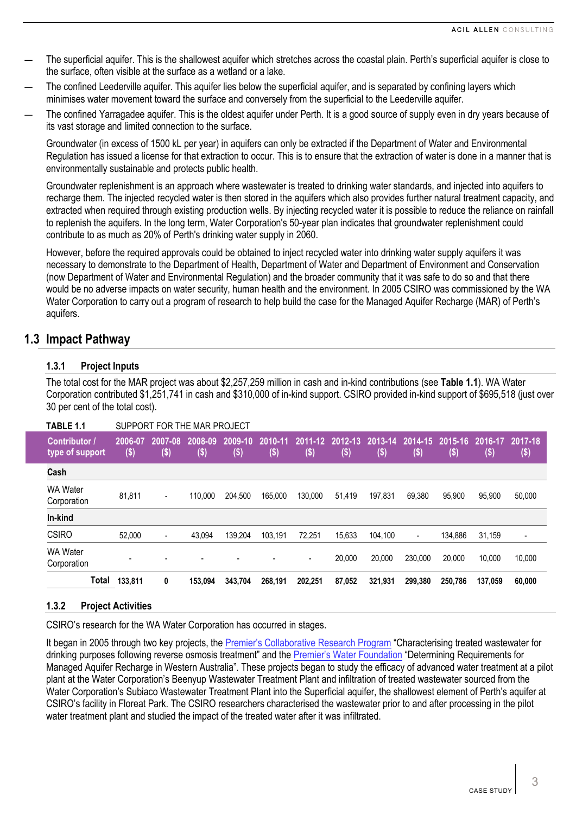- The superficial aquifer. This is the shallowest aquifer which stretches across the coastal plain. Perth's superficial aquifer is close to the surface, often visible at the surface as a wetland or a lake.
- The confined Leederville aquifer. This aquifer lies below the superficial aquifer, and is separated by confining layers which minimises water movement toward the surface and conversely from the superficial to the Leederville aquifer.
- The confined Yarragadee aquifer. This is the oldest aquifer under Perth. It is a good source of supply even in dry years because of its vast storage and limited connection to the surface.

Groundwater (in excess of 1500 kL per year) in aquifers can only be extracted if the Department of Water and Environmental Regulation has issued a license for that extraction to occur. This is to ensure that the extraction of water is done in a manner that is environmentally sustainable and protects public health.

Groundwater replenishment is an approach where wastewater is treated to drinking water standards, and injected into aquifers to recharge them. The injected recycled water is then stored in the aquifers which also provides further natural treatment capacity, and extracted when required through existing production wells. By injecting recycled water it is possible to reduce the reliance on rainfall to replenish the aquifers. In the long term, Water Corporation's 50-year plan indicates that groundwater replenishment could contribute to as much as 20% of Perth's drinking water supply in 2060.

However, before the required approvals could be obtained to inject recycled water into drinking water supply aquifers it was necessary to demonstrate to the Department of Health, Department of Water and Department of Environment and Conservation (now Department of Water and Environmental Regulation) and the broader community that it was safe to do so and that there would be no adverse impacts on water security, human health and the environment. In 2005 CSIRO was commissioned by the WA Water Corporation to carry out a program of research to help build the case for the Managed Aquifer Recharge (MAR) of Perth's aquifers.

# **1.3 Impact Pathway**

# **1.3.1 Project Inputs**

The total cost for the MAR project was about \$2,257,259 million in cash and in-kind contributions (see **[Table](#page-2-0) 1.1**). WA Water Corporation contributed \$1,251,741 in cash and \$310,000 of in-kind support. CSIRO provided in-kind support of \$695,518 (just over 30 per cent of the total cost).

<span id="page-2-0"></span>

| TABLE 1.1                               | SUPPORT FOR THE MAR PROJECT |                 |                   |                 |                 |                   |                 |                 |                          |                    |                |                          |
|-----------------------------------------|-----------------------------|-----------------|-------------------|-----------------|-----------------|-------------------|-----------------|-----------------|--------------------------|--------------------|----------------|--------------------------|
| <b>Contributor</b> /<br>type of support | 2006-07<br>$($ \$)          | 2007-08<br>(\$) | 2008-09<br>$(\$)$ | 2009-10<br>(\$) | 2010-11<br>(\$) | 2011-12<br>$(\$)$ | 2012-13<br>(\$) | 2013-14<br>\$ ) | $2014 - 15$<br>$(\$)$    | 2015-16<br>$($ \$) | 2016-17<br>\$) | 2017-18<br>(\$)          |
| Cash                                    |                             |                 |                   |                 |                 |                   |                 |                 |                          |                    |                |                          |
| <b>WA Water</b><br>Corporation          | 81.811                      | Ξ.              | 110.000           | 204,500         | 165.000         | 130.000           | 51,419          | 197.831         | 69.380                   | 95.900             | 95.900         | 50,000                   |
| In-kind                                 |                             |                 |                   |                 |                 |                   |                 |                 |                          |                    |                |                          |
| <b>CSIRO</b>                            | 52.000                      | $\blacksquare$  | 43.094            | 139.204         | 103.191         | 72,251            | 15,633          | 104,100         | $\overline{\phantom{a}}$ | 134,886            | 31,159         | $\overline{\phantom{a}}$ |
| <b>WA Water</b><br>Corporation          |                             |                 |                   |                 |                 | $\blacksquare$    | 20,000          | 20.000          | 230.000                  | 20.000             | 10.000         | 10,000                   |
| Total                                   | 133,811                     | 0               | 153,094           | 343,704         | 268,191         | 202,251           | 87,052          | 321,931         | 299,380                  | 250,786            | 137,059        | 60,000                   |

## **1.3.2 Project Activities**

CSIRO's research for the WA Water Corporation has occurred in stages.

It began in 2005 through two key projects, the [Premier's Collaborative Research Program](http://ww2.health.wa.gov.au/Articles/F_I/Groundwater-replenishment-publications) "Characterising treated wastewater for drinking purposes following reverse osmosis treatment" and th[e Premier's Water Foundation](https://publications.csiro.au/rpr/download?pid=changeme:422&dsid=DS1) "Determining Requirements for Managed Aquifer Recharge in Western Australia". These projects began to study the efficacy of advanced water treatment at a pilot plant at the Water Corporation's Beenyup Wastewater Treatment Plant and infiltration of treated wastewater sourced from the Water Corporation's Subiaco Wastewater Treatment Plant into the Superficial aquifer, the shallowest element of Perth's aquifer at CSIRO's facility in Floreat Park. The CSIRO researchers characterised the wastewater prior to and after processing in the pilot water treatment plant and studied the impact of the treated water after it was infiltrated.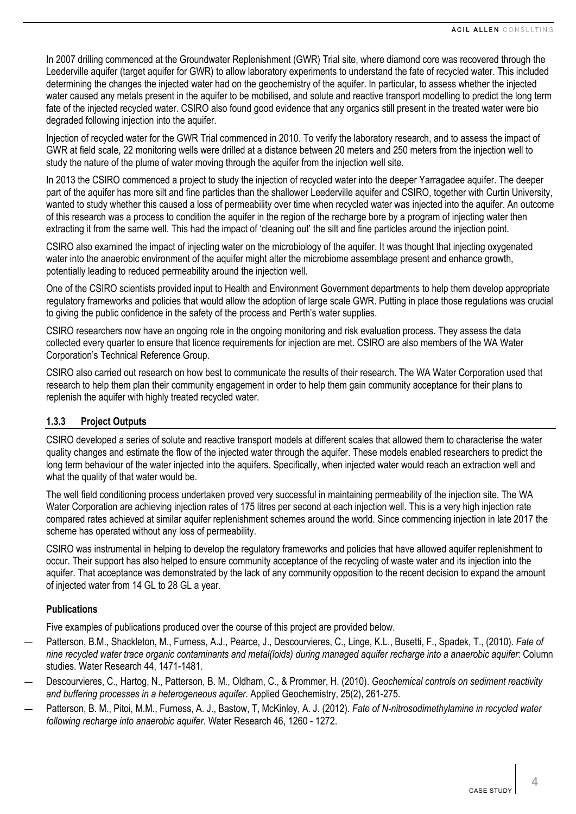In 2007 drilling commenced at the Groundwater Replenishment (GWR) Trial site, where diamond core was recovered through the Leederville aquifer (target aquifer for GWR) to allow laboratory experiments to understand the fate of recycled water. This included determining the changes the injected water had on the geochemistry of the aquifer. In particular, to assess whether the injected water caused any metals present in the aquifer to be mobilised, and solute and reactive transport modelling to predict the long term fate of the injected recycled water. CSIRO also found good evidence that any organics still present in the treated water were bio degraded following injection into the aquifer.

Injection of recycled water for the GWR Trial commenced in 2010. To verify the laboratory research, and to assess the impact of GWR at field scale, 22 monitoring wells were drilled at a distance between 20 meters and 250 meters from the injection well to study the nature of the plume of water moving through the aquifer from the injection well site.

In 2013 the CSIRO commenced a project to study the injection of recycled water into the deeper Yarragadee aquifer. The deeper part of the aquifer has more silt and fine particles than the shallower Leederville aquifer and CSIRO, together with Curtin University, wanted to study whether this caused a loss of permeability over time when recycled water was injected into the aquifer. An outcome of this research was a process to condition the aquifer in the region of the recharge bore by a program of injecting water then extracting it from the same well. This had the impact of 'cleaning out' the silt and fine particles around the injection point.

CSIRO also examined the impact of injecting water on the microbiology of the aquifer. It was thought that injecting oxygenated water into the anaerobic environment of the aquifer might alter the microbiome assemblage present and enhance growth, potentially leading to reduced permeability around the injection well.

One of the CSIRO scientists provided input to Health and Environment Government departments to help them develop appropriate regulatory frameworks and policies that would allow the adoption of large scale GWR. Putting in place those regulations was crucial to giving the public confidence in the safety of the process and Perth's water supplies.

CSIRO researchers now have an ongoing role in the ongoing monitoring and risk evaluation process. They assess the data collected every quarter to ensure that licence requirements for injection are met. CSIRO are also members of the WA Water Corporation's Technical Reference Group.

CSIRO also carried out research on how best to communicate the results of their research. The WA Water Corporation used that research to help them plan their community engagement in order to help them gain community acceptance for their plans to replenish the aquifer with highly treated recycled water.

#### **1.3.3 Project Outputs**

CSIRO developed a series of solute and reactive transport models at different scales that allowed them to characterise the water quality changes and estimate the flow of the injected water through the aquifer. These models enabled researchers to predict the long term behaviour of the water injected into the aquifers. Specifically, when injected water would reach an extraction well and what the quality of that water would be.

The well field conditioning process undertaken proved very successful in maintaining permeability of the injection site. The WA Water Corporation are achieving injection rates of 175 litres per second at each injection well. This is a very high injection rate compared rates achieved at similar aquifer replenishment schemes around the world. Since commencing injection in late 2017 the scheme has operated without any loss of permeability.

CSIRO was instrumental in helping to develop the regulatory frameworks and policies that have allowed aquifer replenishment to occur. Their support has also helped to ensure community acceptance of the recycling of waste water and its injection into the aquifer. That acceptance was demonstrated by the lack of any community opposition to the recent decision to expand the amount of injected water from 14 GL to 28 GL a year.

#### **Publications**

Five examples of publications produced over the course of this project are provided below.

- Patterson, B.M., Shackleton, M., Furness, A.J., Pearce, J., Descourvieres, C., Linge, K.L., Busetti, F., Spadek, T., (2010). *Fate of nine recycled water trace organic contaminants and metal(loids) during managed aquifer recharge into a anaerobic aquifer*: Column studies. Water Research 44, 1471-1481.
- Descourvieres, C., Hartog, N., Patterson, B. M., Oldham, C., & Prommer, H. (2010). *Geochemical controls on sediment reactivity and buffering processes in a heterogeneous aquifer*. Applied Geochemistry, 25(2), 261-275.
- Patterson, B. M., Pitoi, M.M., Furness, A. J., Bastow, T, McKinley, A. J. (2012). *Fate of N-nitrosodimethylamine in recycled water following recharge into anaerobic aquifer*. Water Research 46, 1260 - 1272.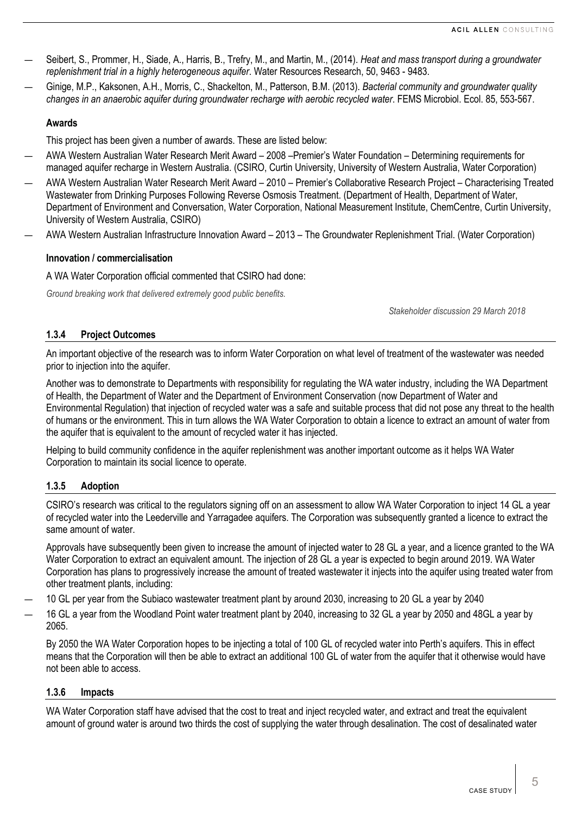- Seibert, S., Prommer, H., Siade, A., Harris, B., Trefry, M., and Martin, M., (2014). *Heat and mass transport during a groundwater replenishment trial in a highly heterogeneous aquifer*. Water Resources Research, 50, 9463 - 9483.
- Ginige, M.P., Kaksonen, A.H., Morris, C., Shackelton, M., Patterson, B.M. (2013). *Bacterial community and groundwater quality changes in an anaerobic aquifer during groundwater recharge with aerobic recycled water*. FEMS Microbiol. Ecol. 85, 553-567.

## **Awards**

This project has been given a number of awards. These are listed below:

- AWA Western Australian Water Research Merit Award 2008 –Premier's Water Foundation Determining requirements for managed aquifer recharge in Western Australia. (CSIRO, Curtin University, University of Western Australia, Water Corporation)
- AWA Western Australian Water Research Merit Award 2010 Premier's Collaborative Research Project Characterising Treated Wastewater from Drinking Purposes Following Reverse Osmosis Treatment. (Department of Health, Department of Water, Department of Environment and Conversation, Water Corporation, National Measurement Institute, ChemCentre, Curtin University, University of Western Australia, CSIRO)
- AWA Western Australian Infrastructure Innovation Award 2013 The Groundwater Replenishment Trial. (Water Corporation)

### **Innovation / commercialisation**

A WA Water Corporation official commented that CSIRO had done:

*Ground breaking work that delivered extremely good public benefits.* 

*Stakeholder discussion 29 March 2018*

## **1.3.4 Project Outcomes**

An important objective of the research was to inform Water Corporation on what level of treatment of the wastewater was needed prior to injection into the aquifer.

Another was to demonstrate to Departments with responsibility for regulating the WA water industry, including the WA Department of Health, the Department of Water and the Department of Environment Conservation (now Department of Water and Environmental Regulation) that injection of recycled water was a safe and suitable process that did not pose any threat to the health of humans or the environment. This in turn allows the WA Water Corporation to obtain a licence to extract an amount of water from the aquifer that is equivalent to the amount of recycled water it has injected.

Helping to build community confidence in the aquifer replenishment was another important outcome as it helps WA Water Corporation to maintain its social licence to operate.

## <span id="page-4-0"></span>**1.3.5 Adoption**

CSIRO's research was critical to the regulators signing off on an assessment to allow WA Water Corporation to inject 14 GL a year of recycled water into the Leederville and Yarragadee aquifers. The Corporation was subsequently granted a licence to extract the same amount of water.

Approvals have subsequently been given to increase the amount of injected water to 28 GL a year, and a licence granted to the WA Water Corporation to extract an equivalent amount. The injection of 28 GL a year is expected to begin around 2019. WA Water Corporation has plans to progressively increase the amount of treated wastewater it injects into the aquifer using treated water from other treatment plants, including:

- 10 GL per year from the Subiaco wastewater treatment plant by around 2030, increasing to 20 GL a year by 2040
- 16 GL a year from the Woodland Point water treatment plant by 2040, increasing to 32 GL a year by 2050 and 48GL a year by 2065.

By 2050 the WA Water Corporation hopes to be injecting a total of 100 GL of recycled water into Perth's aquifers. This in effect means that the Corporation will then be able to extract an additional 100 GL of water from the aquifer that it otherwise would have not been able to access.

#### **1.3.6 Impacts**

WA Water Corporation staff have advised that the cost to treat and inject recycled water, and extract and treat the equivalent amount of ground water is around two thirds the cost of supplying the water through desalination. The cost of desalinated water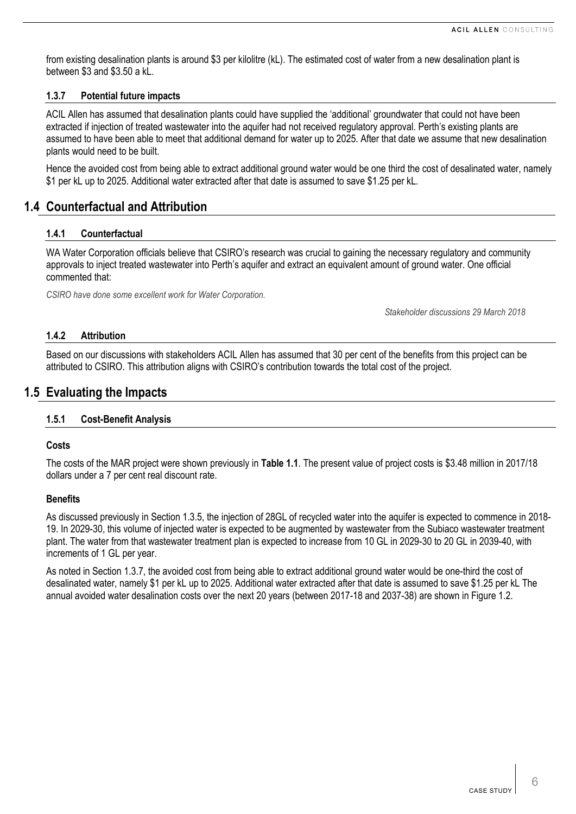from existing desalination plants is around \$3 per kilolitre (kL). The estimated cost of water from a new desalination plant is between \$3 and \$3.50 a kL.

#### <span id="page-5-0"></span>**1.3.7 Potential future impacts**

ACIL Allen has assumed that desalination plants could have supplied the 'additional' groundwater that could not have been extracted if injection of treated wastewater into the aquifer had not received regulatory approval. Perth's existing plants are assumed to have been able to meet that additional demand for water up to 2025. After that date we assume that new desalination plants would need to be built.

Hence the avoided cost from being able to extract additional ground water would be one third the cost of desalinated water, namely \$1 per kL up to 2025. Additional water extracted after that date is assumed to save \$1.25 per kL.

# **1.4 Counterfactual and Attribution**

#### **1.4.1 Counterfactual**

WA Water Corporation officials believe that CSIRO's research was crucial to gaining the necessary regulatory and community approvals to inject treated wastewater into Perth's aquifer and extract an equivalent amount of ground water. One official commented that:

*CSIRO have done some excellent work for Water Corporation.*

*Stakeholder discussions 29 March 2018*

## **1.4.2 Attribution**

Based on our discussions with stakeholders ACIL Allen has assumed that 30 per cent of the benefits from this project can be attributed to CSIRO. This attribution aligns with CSIRO's contribution towards the total cost of the project.

# **1.5 Evaluating the Impacts**

#### **1.5.1 Cost-Benefit Analysis**

#### **Costs**

The costs of the MAR project were shown previously in **[Table](#page-2-0) 1.1**. The present value of project costs is \$3.48 million in 2017/18 dollars under a 7 per cent real discount rate.

#### **Benefits**

As discussed previously in Sectio[n 1.3.5,](#page-4-0) the injection of 28GL of recycled water into the aquifer is expected to commence in 2018- 19. In 2029-30, this volume of injected water is expected to be augmented by wastewater from the Subiaco wastewater treatment plant. The water from that wastewater treatment plan is expected to increase from 10 GL in 2029-30 to 20 GL in 2039-40, with increments of 1 GL per year.

As noted in Section [1.3.7,](#page-5-0) the avoided cost from being able to extract additional ground water would be one-third the cost of desalinated water, namely \$1 per kL up to 2025. Additional water extracted after that date is assumed to save \$1.25 per kL The annual avoided water desalination costs over the next 20 years (between 2017-18 and 2037-38) are shown in [Figure 1.2.](#page-6-0)